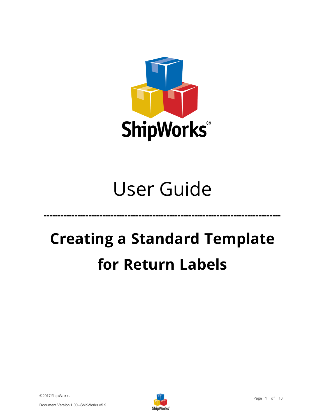

# User Guide

**-------------------------------------------------------------------------------------**

# **Creating a Standard Template for Return Labels**

©2017 ShipWorks

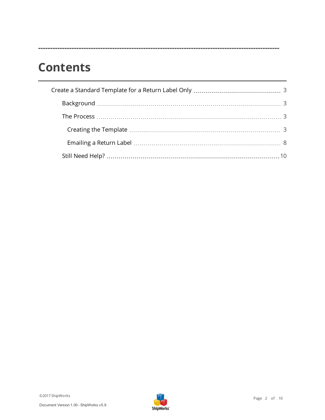### **Contents**

**-----------------------------------------------------------------------------------------------------**

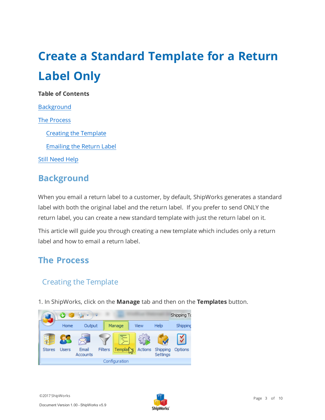## <span id="page-2-0"></span>**Create a Standard Template for a Return Label Only**

#### **Table of Contents**

**[Background](#page-2-1)** The [Process](#page-2-2) Creating the [Template](#page-2-3) [Emailing](#page-7-0) the Return Label Still [Need](#page-9-1) Help

#### <span id="page-2-1"></span>**Background**

When you email a return label to a customer, by default, ShipWorks generates a standard label with both the original label and the return label. If you prefer to send ONLY the return label, you can create a new standard template with just the return label on it.

<span id="page-2-2"></span>This article will guide you through creating a new template which includes only a return label and how to email a return label.

#### <span id="page-2-3"></span>**The Process**

#### Creating the Template

1. In ShipWorks, click on the **Manage** tab and then on the **Templates** button.



Document Version 1.00 - ShipWorks v5.9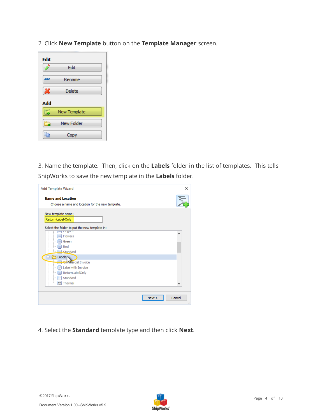2. Click **New Template** button on the **Template Manager** screen.



3. Name the template. Then, click on the **Labels** folder in the list of templates. This tells ShipWorks to save the new template in the **Labels** folder.

| <b>Add Template Wizard</b>                                                   | $\times$                |
|------------------------------------------------------------------------------|-------------------------|
| <b>Name and Location</b><br>Choose a name and location for the new template. |                         |
| New template name:<br>Return-Label-Only                                      |                         |
| Select the folder to put the new template in:<br>Liegano                     |                         |
| $\blacksquare$<br><b>Flowers</b><br><u>:</u>                                 | ۸                       |
| Green<br>:                                                                   |                         |
| $\equiv$ Red<br><u>:</u>                                                     |                         |
| <b>EL</b> Standard                                                           |                         |
| <b>Labels</b>                                                                |                         |
| Commercial Invoice                                                           |                         |
| Label with Invoice<br>$\mathbb{R}^2$<br>$\frac{1}{2}$                        |                         |
| ReturnLabelOnly<br><u>:</u>                                                  |                         |
| $\left  \cdot \right $ Standard<br><u>:</u>                                  |                         |
| <b>III</b> Thermal                                                           |                         |
|                                                                              |                         |
|                                                                              | Cancel<br>Next ><br>.:: |

4. Select the **Standard** template type and then click **Next**.

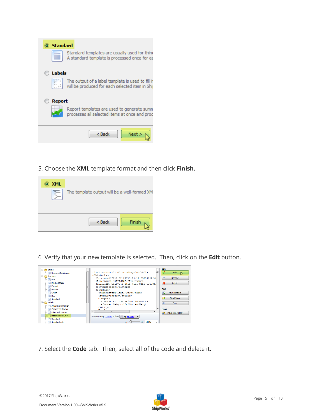| <b>Standard</b>                                                                                     |
|-----------------------------------------------------------------------------------------------------|
| Standard templates are usually used for thine<br>A standard template is processed once for ea       |
| Labels                                                                                              |
| The output of a label template is used to fill in<br>will be produced for each selected item in Shi |
| <b>Report</b>                                                                                       |
| Report templates are used to generate sumn<br>processes all selected items at once and proc         |
| < Back<br>Next                                                                                      |

5. Choose the **XML** template format and then click **Finish.** 



6. Verify that your new template is selected. Then, click on the **Edit** button.



7. Select the **Code** tab. Then, select all of the code and delete it.

Document Version 1.00 - ShipWorks v5.9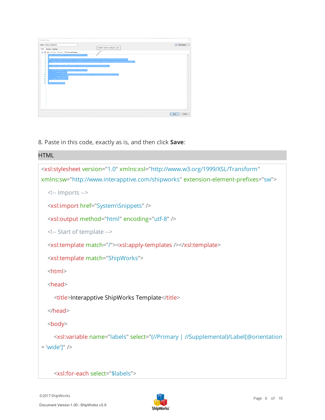| <b>Template Editor</b>                                                                                                                                                                                                                    |                                                                                   | $\times$                                       |
|-------------------------------------------------------------------------------------------------------------------------------------------------------------------------------------------------------------------------------------------|-----------------------------------------------------------------------------------|------------------------------------------------|
| Return-Label-Only<br>Name:<br>Code                                                                                                                                                                                                        | Delete all the default code                                                       | <b>R</b> Edit Snippet<br>$\check{\phantom{a}}$ |
| Preview Settings<br><b>B</b> C VP Undo Cly Redo Wo Find and Replace<br>-le<br>?xml version="1.0" encoding="utf-8"?><br>п<br>$\overline{\mathbf{c}}$<br>xsl:stylesheet version="1.0" xmlns:xsl="http://www.w3.org/1999/XSL/Transform"<br>3 |                                                                                   |                                                |
| 41<br>s<br><xsl:output encoding="utf-8" indent="yes" method="xml"></xsl:output><br>61<br>7<br><xs1:template match="@*   node()"><br/>8<br/><xs1:copy<br>9</xs1:copy<br></xs1:template>                                                    | xmlns:sw="http://www.interapptive.com/shipworks" extension-element-prefixes="sw"> |                                                |
| <xsl:apply-templates select="@*   node() [not(@legacy)]"></xsl:apply-templates><br>10<br>$\langle xs1;$ copy><br>11<br><br>12<br>13<br>/xsl:stylesheet)<br>14                                                                             |                                                                                   |                                                |
|                                                                                                                                                                                                                                           |                                                                                   |                                                |
| $\leq$                                                                                                                                                                                                                                    |                                                                                   |                                                |
|                                                                                                                                                                                                                                           |                                                                                   | Cancel<br>Save                                 |

8. Paste in this code, exactly as is, and then click **Save**:

### HTML <xsl:stylesheet version="1.0" xmlns:xsl="http://www.w3.org/1999/XSL/Transform" xmlns:sw="http://www.interapptive.com/shipworks" extension-element-prefixes="sw"> <!-- Imports --> <xsl:import href="System\Snippets" /> <xsl:output method="html" encoding="utf-8" /> <!-- Start of template --> <xsl:template match="/"><xsl:apply-templates /></xsl:template> <xsl:template match="ShipWorks"> <html> <head> <title>Interapptive ShipWorks Template</title> </head> <body> <xsl:variable name="labels" select="(//Primary | //Supplemental)/Label[@orientation = 'wide']" />

<xsl:for-each select="\$labels">

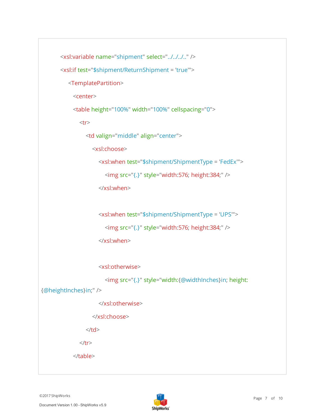```
<xsl:variable name="shipment" select="../../../.." />
       <xsl:if test="$shipment/ReturnShipment = 'true'">
          <TemplatePartition>
            <center>
            <table height="100%" width="100%" cellspacing="0">
               <tr><td valign="middle" align="center">
                   <xsl:choose>
                      <xsl:when test="$shipment/ShipmentType = 'FedEx'">
                        <img src="{.}" style="width:576; height:384;" />
                      </xsl:when>
                      <xsl:when test="$shipment/ShipmentType = 'UPS'">
                        <img src="{.}" style="width:576; height:384;" />
                      </xsl:when>
                      <xsl:otherwise>
                        <img src="{.}" style="width:{@widthInches}in; height:
{@heightInches}in;" />
                      </xsl:otherwise>
                   </xsl:choose>
                 \langle t \, ds \rangle\langle tr \rangle
```
</table>

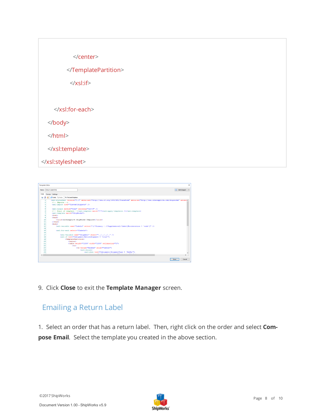



<span id="page-7-0"></span>9. Click **Close** to exit the **Template Manager** screen.

#### Emailing a Return Label

1. Select an order that has a return label. Then, right click on the order and select **Compose Email**. Select the template you created in the above section.

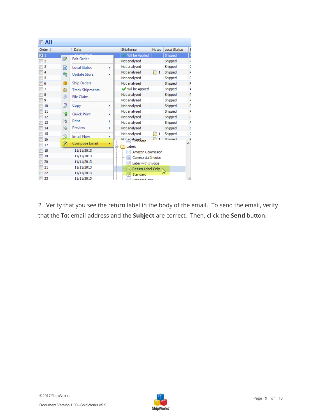| $E$ All        |    |                        |   |                           |              |                     |   |
|----------------|----|------------------------|---|---------------------------|--------------|---------------------|---|
| Order #        |    | Date<br>t.             |   | ShipSense                 | <b>Notes</b> | <b>Local Status</b> | s |
| $\sqrt{3}1$    |    | $\frac{1}{2}$          |   | Will be Applied           |              | Shipped             |   |
| $\overline{2}$ | P  | <b>Edit Order</b>      |   | Not analyzed              |              | Shipped             | F |
| 3              | ۰Ĥ | <b>Local Status</b>    | Þ | Not analyzed              |              | Shipped             |   |
| 4              | 哈  | <b>Update Store</b>    | Þ | Not analyzed              | -1           | Shipped             |   |
| 5              |    |                        |   | Not analyzed              |              | Shipped             | F |
| 6              | G  | <b>Ship Orders</b>     |   | Not analyzed              |              | Shipped             | F |
| 7              | Q  | <b>Track Shipments</b> |   | <b>√</b> Will be Applied  |              | Shipped             | A |
| 8              | ⊜  | <b>File Claim</b>      |   | Not analyzed              |              | Shipped             | F |
| 9              |    |                        |   | Not analyzed              |              | Shipped             | F |
| 10             | n  | Copy                   | Þ | Not analyzed              |              | Shipped             | п |
| 11             | P  | <b>Quick Print</b>     | Þ | Not analyzed              |              | Shipped             | R |
| 12             |    |                        |   | Not analyzed              |              | Shipped             | F |
| 13             | 8  | Print                  | Þ | Not analyzed              |              | Shipped             | F |
| 14             | Ò, | Preview                | Þ | Not analyzed              |              | Shipped             | c |
| 15             | Q  | <b>Email Now</b>       | r | Not analyzed              | 1            | Shipped             | c |
| 16             |    |                        |   | Not analyzed<br>Standard  |              | Shinned             |   |
| 17             | z  | Compose Email          | ٠ | Labels                    |              |                     |   |
| 18             |    | 11/11/2013             |   | Amazon Commission<br>Ç.   |              |                     |   |
| 19             |    | 11/11/2013             |   | Commercial Invoice<br>п   |              |                     |   |
| 20             |    | 11/11/2013             |   | Label with Invoice<br>g\$ |              |                     |   |
| 21             |    | 11/11/2013             |   | Return-Label-Only<br>≡    |              |                     |   |
| 22             |    | 11/11/2013             |   | Standard<br>              |              |                     |   |
| 23             |    | 11/11/2013             |   | <b>Chandred Avo</b>       |              |                     |   |

2. Verify that you see the return label in the body of the email. To send the email, verify that the **To:** email address and the **Subject** are correct. Then, click the **Send** button.